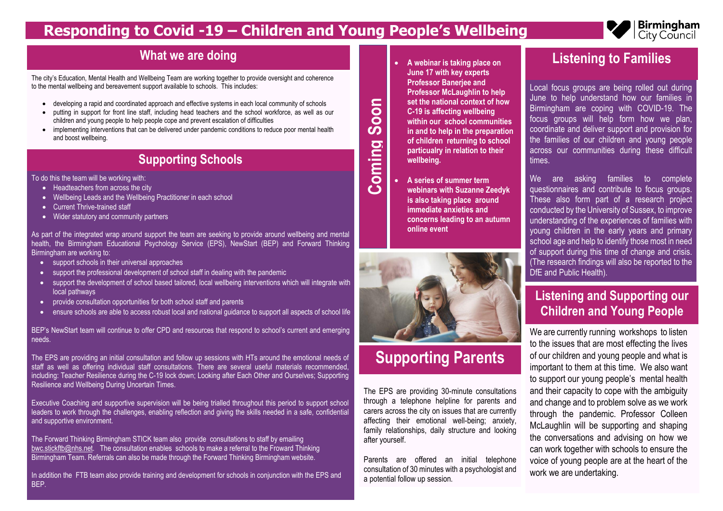# **Responding to Covid -19 – Children and Young People's Wellbeing**

 **A webinar is taking place on June 17 with key experts Professor Banerjee and Professor McLaughlin to help set the national context of how C-19 is affecting wellbeing within our school communities in and to help in the preparation of children returning to school particualry in relation to their wellbeing.**

 **A series of summer term webinars with Suzanne Zeedyk is also taking place around immediate anxieties and concerns leading to an autumn online event**

**Coming** 

### **Listening to Families**

Local focus groups are being rolled out during June to help understand how our families in Birmingham are coping with COVID-19. The focus groups will help form how we plan, coordinate and deliver support and provision for the families of our children and young people across our communities during these difficult times.

We are asking families to complete questionnaires and contribute to focus groups. These also form part of a research project conducted by the University of Sussex, to improve understanding of the experiences of families with young children in the early years and primary school age and help to identify those most in need of support during this time of change and crisis. (The research findings will also be reported to the

- Headteachers from across the city
- Wellbeing Leads and the Wellbeing Practitioner in each school
- Current Thrive-trained staff
- Wider statutory and community partners

DfE and Public Health). **Listening and Supporting our Children and Young People** We are currently running workshops to listen to the issues that are most effecting the lives of our children and young people and what is important to them at this time. We also want to support our young people's mental health and their capacity to cope with the ambiguity and change and to problem solve as we work through the pandemic. Professor Colleen McLaughlin will be supporting and shaping the conversations and advising on how we can work together with schools to ensure the voice of young people are at the heart of the work we are undertaking.



- support schools in their universal approaches
- support the professional development of school staff in dealing with the pandemic
- support the development of school based tailored, local wellbeing interventions which will integrate with local pathways
- provide consultation opportunities for both school staff and parents
- ensure schools are able to access robust local and national guidance to support all aspects of school life

The city's Education, Mental Health and Wellbeing Team are working together to provide oversight and coherence to the mental wellbeing and bereavement support available to schools. This includes:

- developing a rapid and coordinated approach and effective systems in each local community of schools
- putting in support for front line staff, including head teachers and the school workforce, as well as our children and young people to help people cope and prevent escalation of difficulties
- implementing interventions that can be delivered under pandemic conditions to reduce poor mental health and boost wellbeing.

# **Supporting Parents**

The EPS are providing 30-minute consultations through a telephone helpline for parents and carers across the city on issues that are currently affecting their emotional well-being; anxiety, family relationships, daily structure and looking after yourself.

Parents are offered an initial telephone consultation of 30 minutes with a psychologist and a potential follow up session.

## **What we are doing**

### **Supporting Schools**

To do this the team will be working with:

As part of the integrated wrap around support the team are seeking to provide around wellbeing and mental health, the Birmingham Educational Psychology Service (EPS), NewStart (BEP) and Forward Thinking Birmingham are working to:

BEP's NewStart team will continue to offer CPD and resources that respond to school's current and emerging needs.

The EPS are providing an initial consultation and follow up sessions with HTs around the emotional needs of staff as well as offering individual staff consultations. There are several useful materials recommended, including: Teacher Resilience during the C-19 lock down; Looking after Each Other and Ourselves; Supporting Resilience and Wellbeing During Uncertain Times.

Executive Coaching and supportive supervision will be being trialled throughout this period to support school leaders to work through the challenges, enabling reflection and giving the skills needed in a safe, confidential and supportive environment.

The Forward Thinking Birmingham STICK team also provide consultations to staff by emailing [bwc.stickftb@nhs.net.](mailto:bwc.stickftb@nhs.net) The consultation enables schools to make a referral to the Froward Thinking Birmingham Team. Referrals can also be made through the Forward Thinking Birmingham website.

In addition the FTB team also provide training and development for schools in conjunction with the EPS and BEP.

**on**